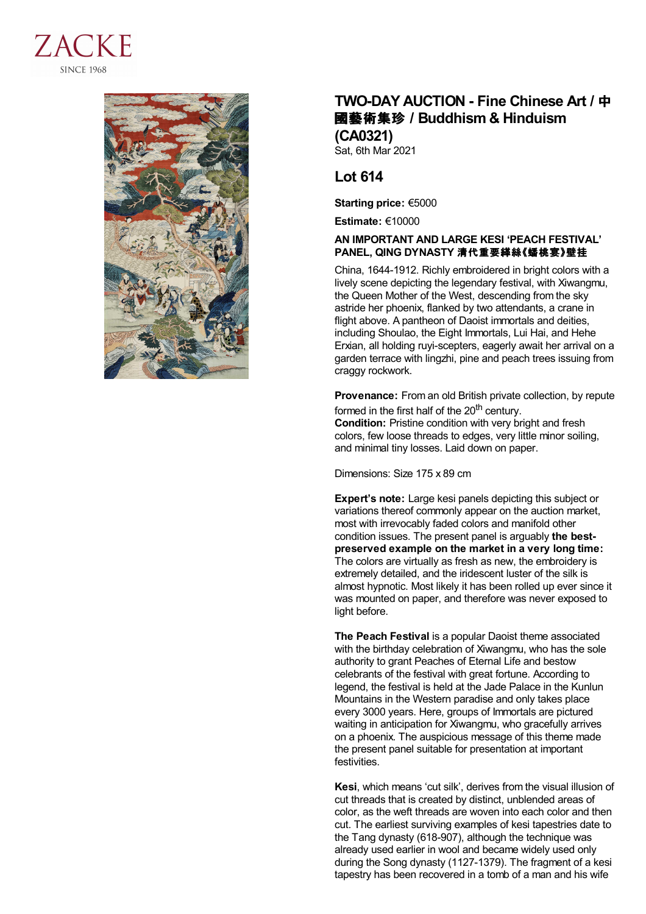



## **TWO-DAY AUCTION - Fine Chinese Art /** 中 國藝術集珍 **/Buddhism & Hinduism (CA0321)**

Sat, 6th Mar 2021

## **Lot 614**

**Starting price:** €5000

**Estimate:** €10000

## **AN IMPORTANT AND LARGE KESI 'PEACH FESTIVAL' PANEL, QING DYNASTY** 清代重要緙絲《蟠桃宴》壁挂

China, 1644-1912. Richly embroidered in bright colors with a lively scene depicting the legendary festival, with Xiwangmu, the Queen Mother of the West, descending from the sky astride her phoenix, flanked by two attendants, a crane in flight above. A pantheon of Daoist immortals and deities, including Shoulao, the Eight Immortals, Lui Hai, and Hehe Erxian, all holding ruyi-scepters, eagerly await her arrival on a garden terrace with lingzhi, pine and peach trees issuing from craggy rockwork.

**Provenance:** From an old British private collection, by repute formed in the first half of the 20<sup>th</sup> century.

**Condition:** Pristine condition with very bright and fresh colors, few loose threads to edges, very little minor soiling, and minimal tiny losses. Laid down on paper.

Dimensions: Size 175 x 89 cm

**Expert's note:** Large kesi panels depicting this subject or variations thereof commonly appear on the auction market, most with irrevocably faded colors and manifold other condition issues. The present panel is arguably **the bestpreserved example on the market in a very long time:** The colors are virtually as fresh as new, the embroidery is extremely detailed, and the iridescent luster of the silk is almost hypnotic. Most likely it has been rolled up ever since it was mounted on paper, and therefore was never exposed to light before.

**The Peach Festival** is a popular Daoist theme associated with the birthday celebration of Xiwangmu, who has the sole authority to grant Peaches of Eternal Life and bestow celebrants of the festival with great fortune. According to legend, the festival is held at the Jade Palace in the Kunlun Mountains in the Western paradise and only takes place every 3000 years. Here, groups of Immortals are pictured waiting in anticipation for Xiwangmu, who gracefully arrives on a phoenix. The auspicious message of this theme made the present panel suitable for presentation at important festivities.

**Kesi**, which means 'cut silk', derives from the visual illusion of cut threads that is created by distinct, unblended areas of color, as the weft threads are woven into each color and then cut. The earliest surviving examples of kesi tapestries date to the Tang dynasty (618-907), although the technique was already used earlier in wool and became widely used only during the Song dynasty (1127-1379). The fragment of a kesi tapestry has been recovered in a tomb of a man and his wife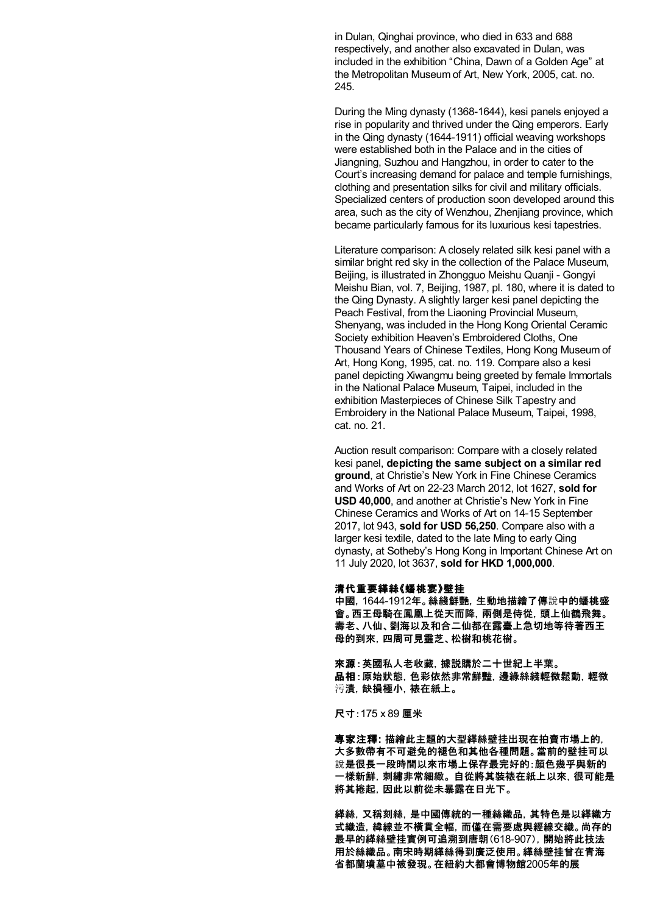in Dulan, Qinghai province, who died in 633 and 688 respectively, and another also excavated in Dulan, was included in the exhibition "China, Dawn of a Golden Age" at the Metropolitan Museum of Art, New York, 2005, cat. no. 245.

During the Ming dynasty (1368-1644), kesi panels enjoyed a rise in popularity and thrived under the Qing emperors. Early in the Qing dynasty (1644-1911) official weaving workshops were established both in the Palace and in the cities of Jiangning, Suzhou and Hangzhou, in order to cater to the Court's increasing demand for palace and temple furnishings, clothing and presentation silks for civil and military officials. Specialized centers of production soon developed around this area, such as the city of Wenzhou, Zhenjiang province, which became particularly famous for its luxurious kesi tapestries.

Literature comparison: A closely related silk kesi panel with a similar bright red sky in the collection of the Palace Museum, Beijing, is illustrated in Zhongguo Meishu Quanji - Gongyi Meishu Bian, vol. 7, Beijing, 1987, pl. 180, where it is dated to the Qing Dynasty. A slightly larger kesi panel depicting the Peach Festival, from the Liaoning Provincial Museum, Shenyang, was included in the Hong Kong Oriental Ceramic Society exhibition Heaven's Embroidered Cloths, One Thousand Years of Chinese Textiles, Hong Kong Museum of Art, Hong Kong, 1995, cat. no. 119. Compare also a kesi panel depicting Xiwangmu being greeted by female Immortals in the National Palace Museum, Taipei, included in the exhibition Masterpieces of Chinese Silk Tapestry and Embroidery in the National Palace Museum, Taipei, 1998, cat. no. 21.

Auction result comparison: Compare with a closely related kesi panel, **depicting the same subject on a similar red ground**, at Christie's New York in Fine Chinese Ceramics and Works of Art on 22-23 March 2012, lot 1627, **sold for USD 40,000**, and another at Christie's New York in Fine Chinese Ceramics and Works of Art on 14-15 September 2017, lot 943, **sold for USD 56,250**. Compare also with a larger kesi textile, dated to the late Ming to early Qing dynasty, at Sotheby's Hong Kong in Important Chinese Art on 11 July 2020, lot 3637, **sold for HKD 1,000,000**.

## 清代重要緙絲《蟠桃宴》壁挂

中國,1644-1912年。絲綫鮮艷,生動地描繪了傳說中的蟠桃盛 會。西王母騎在鳳凰上從天而降,兩側是侍從,頭上仙鶴飛舞。 壽老、八仙、劉海以及和合二仙都在露臺上急切地等待著西王 母的到來,四周可見靈芝、松樹和桃花樹。

來源:英國私人老收藏,據説購於二十世紀上半葉。 品相:原始狀態,色彩依然非常鮮豔,邊緣絲綫輕微鬆動,輕微 污漬,缺損極小,裱在紙上。

尺寸:175 x 89 厘米

專家注釋**:** 描繪此主題的大型緙絲壁挂出現在拍賣市場上的, 大多數帶有不可避免的褪色和其他各種問題。當前的壁挂可以 說是很長一段時間以來市場上保存最完好的:顏色幾乎與新的 一樣新鮮,刺繡非常細緻。 自從將其裝裱在紙上以來,很可能是 將其捲起,因此以前從未暴露在日光下。

緙絲,又稱刻絲,是中國傳統的一種絲織品,其特色是以緙織方 式織造,緯線並不橫貫全幅,而僅在需要處與經線交織。尚存的 最早的緙絲壁挂實例可追溯到唐朝(618-907),開始將此技法 用於絲織品。南宋時期緙絲得到廣泛使用。緙絲壁挂曾在青海 省都蘭墳墓中被發現。在紐約大都會博物館2005年的展